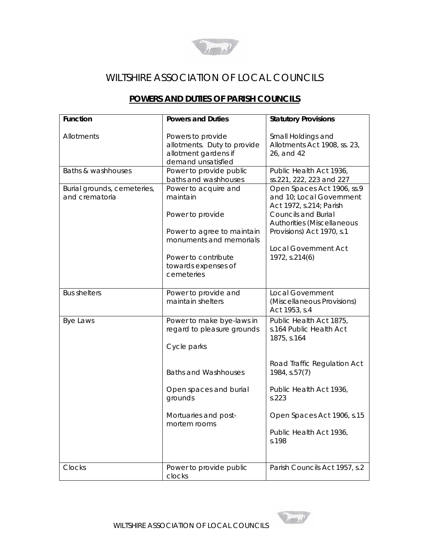

## WILTSHIRE ASSOCIATION OF LOCAL COUNCILS

## **POWERS AND DUTIES OF PARISH COUNCILS**

| <b>Function</b>                               | <b>Powers and Duties</b>                                                                                      | <b>Statutory Provisions</b>                                                                                                                                                                               |
|-----------------------------------------------|---------------------------------------------------------------------------------------------------------------|-----------------------------------------------------------------------------------------------------------------------------------------------------------------------------------------------------------|
| Allotments                                    | Powers to provide<br>allotments. Duty to provide<br>allotment gardens if<br>demand unsatisfied                | Small Holdings and<br>Allotments Act 1908, ss. 23,<br>26, and 42                                                                                                                                          |
| Baths & washhouses                            | Power to provide public<br>baths and washhouses                                                               | Public Health Act 1936,<br>ss.221, 222, 223 and 227                                                                                                                                                       |
| Burial grounds, cemeteries,<br>and crematoria | Power to acquire and<br>maintain<br>Power to provide<br>Power to agree to maintain<br>monuments and memorials | Open Spaces Act 1906, ss.9<br>and 10; Local Government<br>Act 1972, s.214; Parish<br><b>Councils and Burial</b><br>Authorities (Miscellaneous<br>Provisions) Act 1970, s.1<br><b>Local Government Act</b> |
|                                               | Power to contribute<br>towards expenses of<br>cemeteries                                                      | 1972, s.214(6)                                                                                                                                                                                            |
| <b>Bus shelters</b>                           | Power to provide and<br>maintain shelters                                                                     | <b>Local Government</b><br>(Miscellaneous Provisions)<br>Act 1953, s.4                                                                                                                                    |
| Bye Laws                                      | Power to make bye-laws in<br>regard to pleasure grounds<br>Cycle parks                                        | Public Health Act 1875,<br>s.164 Public Health Act<br>1875, s.164                                                                                                                                         |
|                                               | <b>Baths and Washhouses</b>                                                                                   | Road Traffic Regulation Act<br>1984, s.57(7)                                                                                                                                                              |
|                                               | Open spaces and burial<br>grounds                                                                             | Public Health Act 1936,<br>s.223                                                                                                                                                                          |
|                                               | Mortuaries and post-<br>mortem rooms                                                                          | Open Spaces Act 1906, s.15                                                                                                                                                                                |
|                                               |                                                                                                               | Public Health Act 1936,<br>s.198                                                                                                                                                                          |
| Clocks                                        | Power to provide public<br>clocks                                                                             | Parish Councils Act 1957, s.2                                                                                                                                                                             |

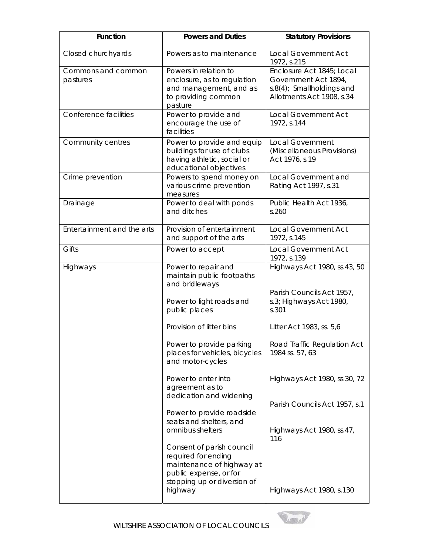| <b>Function</b>                | <b>Powers and Duties</b>                                                                                                               | <b>Statutory Provisions</b>                                                                                 |
|--------------------------------|----------------------------------------------------------------------------------------------------------------------------------------|-------------------------------------------------------------------------------------------------------------|
| Closed churchyards             | Powers as to maintenance                                                                                                               | <b>Local Government Act</b><br>1972, s.215                                                                  |
| Commons and common<br>pastures | Powers in relation to<br>enclosure, as to regulation<br>and management, and as<br>to providing common<br>pasture                       | Enclosure Act 1845; Local<br>Government Act 1894,<br>s.8(4); Smallholdings and<br>Allotments Act 1908, s.34 |
| Conference facilities          | Power to provide and<br>encourage the use of<br>facilities                                                                             | Local Government Act<br>1972, s.144                                                                         |
| Community centres              | Power to provide and equip<br>buildings for use of clubs<br>having athletic, social or<br>educational objectives                       | <b>Local Government</b><br>(Miscellaneous Provisions)<br>Act 1976, s.19                                     |
| Crime prevention               | Powers to spend money on<br>various crime prevention<br>measures                                                                       | Local Government and<br>Rating Act 1997, s.31                                                               |
| Drainage                       | Power to deal with ponds<br>and ditches                                                                                                | Public Health Act 1936,<br>s.260                                                                            |
| Entertainment and the arts     | Provision of entertainment<br>and support of the arts                                                                                  | <b>Local Government Act</b><br>1972, s.145                                                                  |
| Gifts                          | Power to accept                                                                                                                        | <b>Local Government Act</b><br>1972, s.139                                                                  |
| Highways                       | Power to repair and<br>maintain public footpaths<br>and bridleways                                                                     | Highways Act 1980, ss.43, 50<br>Parish Councils Act 1957,                                                   |
|                                | Power to light roads and<br>public places                                                                                              | s.3; Highways Act 1980,<br>s.301                                                                            |
|                                | Provision of litter bins                                                                                                               | Litter Act 1983, ss. 5,6                                                                                    |
|                                | Power to provide parking<br>places for vehicles, bicycles<br>and motor-cycles                                                          | Road Traffic Regulation Act<br>1984 ss. 57, 63                                                              |
|                                | Power to enter into<br>agreement as to<br>dedication and widening                                                                      | Highways Act 1980, ss 30, 72                                                                                |
|                                | Power to provide roadside<br>seats and shelters, and                                                                                   | Parish Councils Act 1957, s.1                                                                               |
|                                | omnibus shelters                                                                                                                       | Highways Act 1980, ss.47,<br>116                                                                            |
|                                | Consent of parish council<br>required for ending<br>maintenance of highway at<br>public expense, or for<br>stopping up or diversion of |                                                                                                             |
|                                | highway                                                                                                                                | Highways Act 1980, s.130                                                                                    |

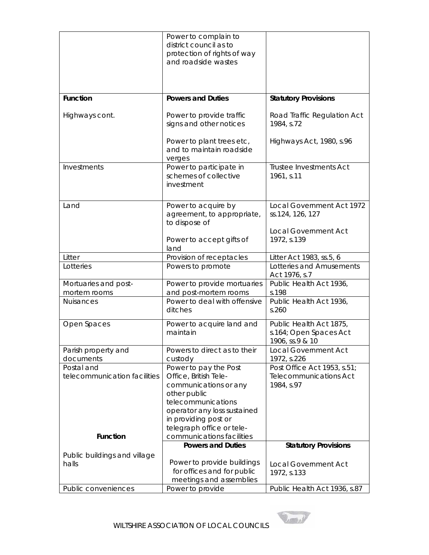|                                            | Power to complain to<br>district council as to<br>protection of rights of way                                                                                                |                                                                      |
|--------------------------------------------|------------------------------------------------------------------------------------------------------------------------------------------------------------------------------|----------------------------------------------------------------------|
|                                            | and roadside wastes                                                                                                                                                          |                                                                      |
| <b>Function</b>                            | <b>Powers and Duties</b>                                                                                                                                                     | <b>Statutory Provisions</b>                                          |
| Highways cont.                             | Power to provide traffic<br>signs and other notices                                                                                                                          | Road Traffic Regulation Act<br>1984, s.72                            |
|                                            | Power to plant trees etc,<br>and to maintain roadside<br>verges                                                                                                              | Highways Act, 1980, s.96                                             |
| Investments                                | Power to participate in<br>schemes of collective<br>investment                                                                                                               | Trustee Investments Act<br>1961, s.11                                |
| Land                                       | Power to acquire by<br>agreement, to appropriate,<br>to dispose of                                                                                                           | Local Government Act 1972<br>ss.124, 126, 127                        |
|                                            | Power to accept gifts of<br>land                                                                                                                                             | <b>Local Government Act</b><br>1972, s.139                           |
| Litter                                     | Provision of receptacles                                                                                                                                                     | Litter Act 1983, ss.5, 6                                             |
| Lotteries                                  | Powers to promote                                                                                                                                                            | Lotteries and Amusements<br>Act 1976, s.7                            |
| Mortuaries and post-<br>mortem rooms       | Power to provide mortuaries<br>and post-mortem rooms                                                                                                                         | Public Health Act 1936,<br>s.198                                     |
| <b>Nuisances</b>                           | Power to deal with offensive<br>ditches                                                                                                                                      | Public Health Act 1936,<br>s.260                                     |
| Open Spaces                                | Power to acquire land and<br>maintain                                                                                                                                        | Public Health Act 1875,<br>s.164; Open Spaces Act<br>1906, ss.9 & 10 |
| Parish property and<br>documents           | Powers to direct as to their<br>custody                                                                                                                                      | <b>Local Government Act</b><br>1972, s.226                           |
| Postal and<br>telecommunication facilities | Power to pay the Post<br>Office, British Tele-                                                                                                                               | Post Office Act 1953, s.51;<br><b>Telecommunications Act</b>         |
| <b>Function</b>                            | communications or any<br>other public<br>telecommunications<br>operator any loss sustained<br>in providing post or<br>telegraph office or tele-<br>communications facilities | 1984, s.97                                                           |
|                                            | <b>Powers and Duties</b>                                                                                                                                                     | <b>Statutory Provisions</b>                                          |
| Public buildings and village               |                                                                                                                                                                              |                                                                      |
| halls                                      | Power to provide buildings<br>for offices and for public<br>meetings and assemblies                                                                                          | <b>Local Government Act</b><br>1972, s.133                           |
| Public conveniences                        | Power to provide                                                                                                                                                             | Public Health Act 1936, s.87                                         |